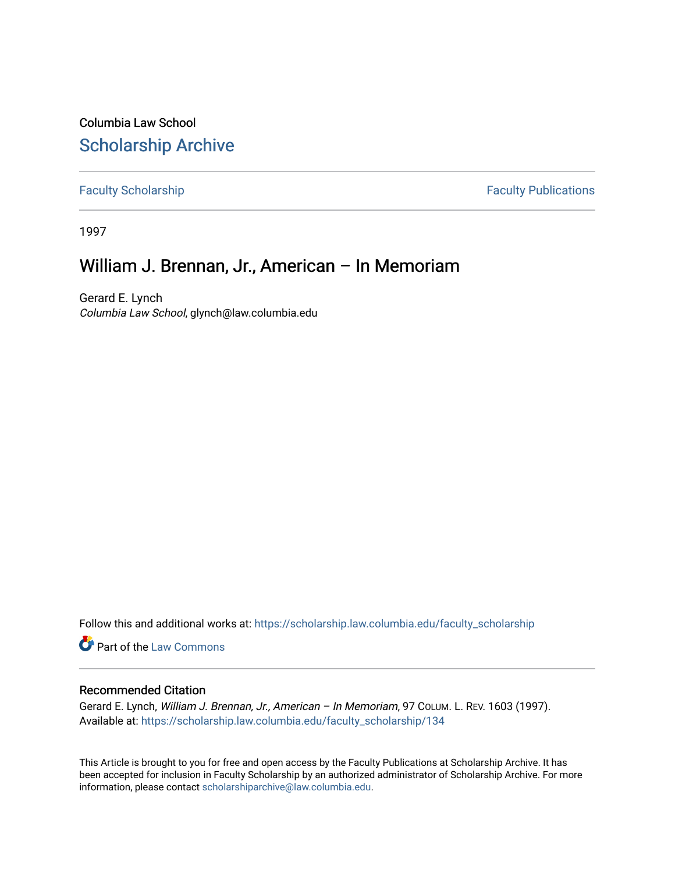Columbia Law School [Scholarship Archive](https://scholarship.law.columbia.edu/) 

[Faculty Scholarship](https://scholarship.law.columbia.edu/faculty_scholarship) **Faculty Publications** 

1997

## William J. Brennan, Jr., American – In Memoriam

Gerard E. Lynch Columbia Law School, glynch@law.columbia.edu

Follow this and additional works at: [https://scholarship.law.columbia.edu/faculty\\_scholarship](https://scholarship.law.columbia.edu/faculty_scholarship?utm_source=scholarship.law.columbia.edu%2Ffaculty_scholarship%2F134&utm_medium=PDF&utm_campaign=PDFCoverPages)

Part of the [Law Commons](http://network.bepress.com/hgg/discipline/578?utm_source=scholarship.law.columbia.edu%2Ffaculty_scholarship%2F134&utm_medium=PDF&utm_campaign=PDFCoverPages)

### Recommended Citation

Gerard E. Lynch, William J. Brennan, Jr., American - In Memoriam, 97 COLUM. L. REV. 1603 (1997). Available at: [https://scholarship.law.columbia.edu/faculty\\_scholarship/134](https://scholarship.law.columbia.edu/faculty_scholarship/134?utm_source=scholarship.law.columbia.edu%2Ffaculty_scholarship%2F134&utm_medium=PDF&utm_campaign=PDFCoverPages) 

This Article is brought to you for free and open access by the Faculty Publications at Scholarship Archive. It has been accepted for inclusion in Faculty Scholarship by an authorized administrator of Scholarship Archive. For more information, please contact [scholarshiparchive@law.columbia.edu.](mailto:scholarshiparchive@law.columbia.edu)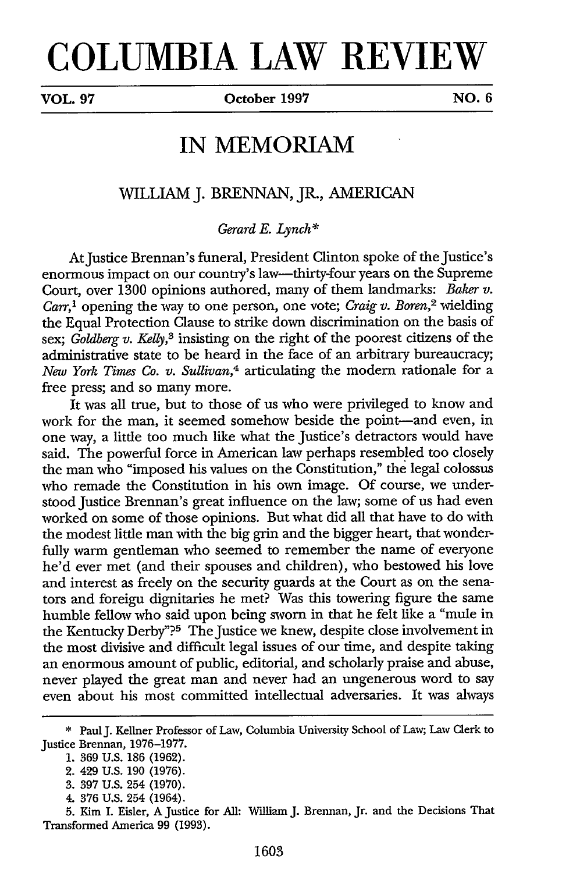# **COLUMBIA LAW REVIEW**

**VOL. 97 October 1997 NO. 6** 

## **IN MEMORIAM**

#### WILLIAM **J.** BRENNAN, JR., AMERICAN

*Gerard E. Lynch\**

At Justice Brennan's funeral, President Clinton spoke of the Justice's enormous impact on our country's law-thirty-four years on the Supreme Court, over 1300 opinions authored, many of them landmarks: *Baker v. Carr,'* opening the way to one person, one vote; *Craig v. Boren,2* wielding the Equal Protection Clause to strike down discrimination on the basis of sex; *Goldberg v. Kelly,<sup>3</sup>*insisting on the right of the poorest citizens of the administrative state to be heard in the face of an arbitrary bureaucracy; *New York Times Co. v. Sullivan,4* articulating the modem rationale for a free press; and so many more.

It was all true, but to those of us who were privileged to know and work for the man, it seemed somehow beside the point-and even, in one way, a little too much like what the Justice's detractors would have said. The powerful force in American law perhaps resembled too closely the man who "imposed his values on the Constitution," the legal colossus who remade the Constitution in his own image. Of course, we understood Justice Brennan's great influence on the law; some of us had even worked on some of those opinions. But what did all that have to do with the modest little man with the big grin and the bigger heart, that wonderfully warm gentleman who seemed to remember the name of everyone he'd ever met (and their spouses and children), who bestowed his love and interest as freely on the security guards at the Court as on the senators and foreign dignitaries he met? Was this towering figure the same humble fellow who said upon being sworn in that he felt like a "mule in the Kentucky Derby"?5 The Justice we knew, despite close involvement in the most divisive and difficult legal issues of our time, and despite taking an enormous amount of public, editorial, and scholarly praise and abuse, never played the great man and never had an ungenerous word to say even about his most committed intellectual adversaries. It was always

<sup>\*</sup> PaulJ. Kellner Professor of Law, Columbia University School of Law; Law Clerk to Justice Brennan, 1976-1977.

<sup>1. 369</sup> U.S. 186 (1962).

<sup>2. 429</sup> U.S. 190 (1976).

<sup>3. 397</sup> U.S. 254 (1970).

<sup>4. 376</sup> U.S. 254 (1964).

**<sup>5.</sup>** Kim I. Eisler, A Justice for All: William J. Brennan, Jr. and the Decisions That Transformed America 99 (1993).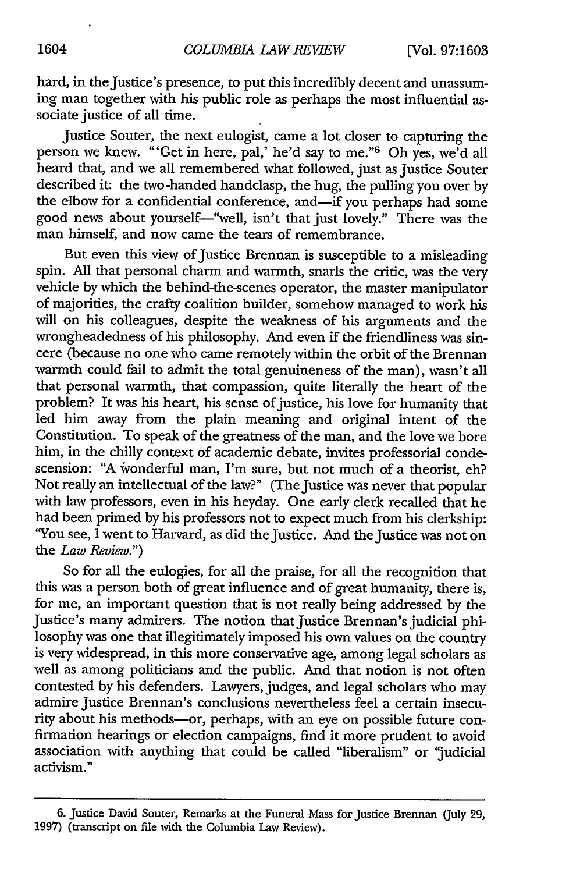hard, in the Justice's presence, to put this incredibly decent and unassuming man together with his public role as perhaps the most influential associate justice of all time.

Justice Souter, the next eulogist, came a lot closer to capturing the person we knew. "'Get in here, pal,' he'd say to me."<sup>6</sup> Oh yes, we'd all heard that, and we all remembered what followed, just as Justice Souter described it: the two-handed handclasp, the hug, the pulling you over by the elbow for a confidential conference, and—if you perhaps had some good news about yourself-"well, isn't that just lovely." There was the man himself, and now came the tears of remembrance.

But even this view of Justice Brennan is susceptible to a misleading spin. All that personal charm and warmth, snarls the critic, was the very vehicle by which the behind-the-scenes operator, the master manipulator of majorities, the crafty coalition builder, somehow managed to work his will on his colleagues, despite the weakness of his arguments and the wrongheadedness of his philosophy. And even if the friendliness was sincere (because no one who came remotely within the orbit of the Brennan warmth could fail to admit the total genuineness of the man), wasn't all that personal warmth, that compassion, quite literally the heart of the problem? It was his heart, his sense of justice, his love for humanity that led him away from the plain meaning and original intent of the Constitution. To speak of the greatness of the man, and the love we bore him, in the chilly context of academic debate, invites professorial condescension: "A wonderful man, I'm sure, but not much of a theorist, eh? Not really an intellectual of the law?" (The Justice was never that popular with law professors, even in his heyday. One early clerk recalled that he had been primed by his professors not to expect much from his clerkship: "You see, I went to Harvard, as did the Justice. And the Justice was not on the *Law Review.")*

So for all the eulogies, for all the praise, for all the recognition that this was a person both of great influence and of great humanity, there is, for me, an important question that is not really being addressed by the Justice's many admirers. The notion that Justice Brennan's judicial philosophy was one that illegitimately imposed his own values on the country is very widespread, in this more conservative age, among legal scholars as well as among politicians and the public. And that notion is not often contested by his defenders. Lawyers, judges, and legal scholars who may admire Justice Brennan's conclusions nevertheless feel a certain insecurity about his methods-or, perhaps, with an eye on possible future confirmation hearings or election campaigns, find it more prudent to avoid association with anything that could be called "liberalism" or "judicial activism."

<sup>6.</sup> Justice David Souter, Remarks at the Funeral Mass for Justice Brennan (July 29, 1997) (transcript on file with the Columbia Law Review).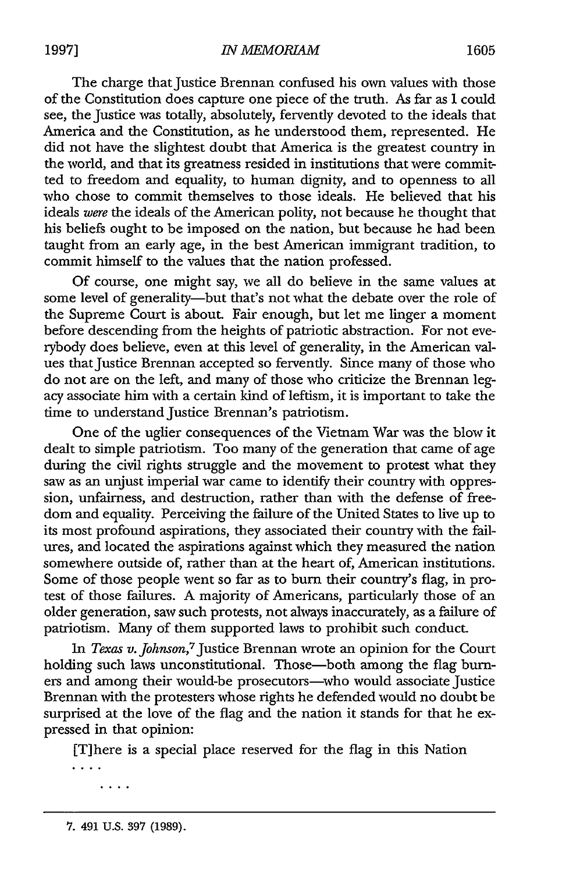The charge that Justice Brennan confused his own values with those of the Constitution does capture one piece of the truth. As far as I could see, the Justice was totally, absolutely, fervently devoted to the ideals that America and the Constitution, as he understood them, represented. He did not have the slightest doubt that America is the greatest country in the world, and that its greatness resided in institutions that were committed to freedom and equality, to human dignity, and to openness to all who chose to commit themselves to those ideals. He believed that his ideals were the ideals of the American polity, not because he thought that his beliefs ought to be imposed on the nation, but because he had been taught from an early age, in the best American immigrant tradition, to commit himself to the values that the nation professed.

Of course, one might say, we all do believe in the same values at some level of generality—but that's not what the debate over the role of the Supreme Court is about. Fair enough, but let me linger a moment before descending from the heights of patriotic abstraction. For not everybody does believe, even at this level of generality, in the American values that Justice Brennan accepted so fervently. Since many of those who do not are on the left, and many of those who criticize the Brennan legacy associate him with a certain kind of leftism, it is important to take the time to understand Justice Brennan's patriotism.

One of the uglier consequences of the Vietnam War was the blow it dealt to simple patriotism. Too many of the generation that came of age during the civil rights struggle and the movement to protest what they saw as an unjust imperial war came to identify their country with oppression, unfairness, and destruction, rather than with the defense of freedom and equality. Perceiving the failure of the United States to live up to its most profound aspirations, they associated their country with the failures, and located the aspirations against which they measured the nation somewhere outside of, rather than at the heart of, American institutions. Some of those people went so far as to bum their country's flag, in protest of those failures. A majority of Americans, particularly those of an older generation, saw such protests, not always inaccurately, as a failure of patriotism. Many of them supported laws to prohibit such conduct.

In *Texas v. Johnson,7 justice* Brennan wrote an opinion for the Court holding such laws unconstitutional. Those-both among the flag burners and among their would-be prosecutors-who would associate Justice Brennan with the protesters whose rights he defended would no doubt be surprised at the love of the flag and the nation it stands for that he expressed in that opinion:

[T]here is a special place reserved for the flag in this Nation . . . .

 $\sim$   $\sim$   $\sim$   $\sim$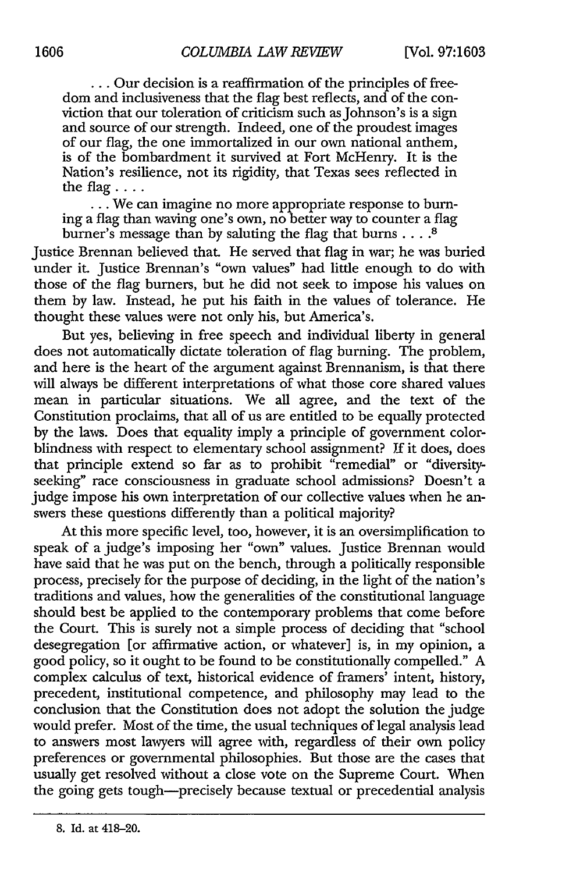**...** Our decision is a reaffirmation of the principles of freedom and inclusiveness that the flag best reflects, and of the conviction that our toleration of criticism such as Johnson's is a sign and source of our strength. Indeed, one of the proudest images of our flag, the one immortalized in our own national anthem, is of the bombardment it survived at Fort McHenry. It is the Nation's resilience, not its rigidity, that Texas sees reflected in the flag ....

**...** We can imagine no more appropriate response to burning a flag than waving one's own, no better way to counter a flag burner's message than by saluting the flag that bums .... **<sup>8</sup>**

Justice Brennan believed that. He served that flag in war; he was buried under it. Justice Brennan's "own values" had little enough to do with those of the flag burners, but he did not seek to impose his values on them by law. Instead, he put his faith in the values of tolerance. He thought these values were not only his, but America's.

But yes, believing in free speech and individual liberty in general does not automatically dictate toleration of flag burning. The problem, and here is the heart of the argument against Brennanism, is that there will always be different interpretations of what those core shared values mean in particular situations. We all agree, and the text of the Constitution proclaims, that all of us are entitled to be equally protected by the laws. Does that equality imply a principle of government colorblindness with respect to elementary school assignment? If it does, does that principle extend so far as to prohibit "remedial" or "diversityseeking" race consciousness in graduate school admissions? Doesn't a judge impose his own interpretation of our collective values when he answers these questions differently than a political majority?

At this more specific level, too, however, it is an oversimplification to speak of a judge's imposing her "own" values. Justice Brennan would have said that he was put on the bench, through a politically responsible process, precisely for the purpose of deciding, in the light of the nation's traditions and values, how the generalities of the constitutional language should best be applied to the contemporary problems that come before the Court. This is surely not a simple process of deciding that "school desegregation [or affirmative action, or whatever] is, in my opinion, a good policy, so it ought to be found to be constitutionally compelled." A complex calculus of text, historical evidence of framers' intent, history, precedent, institutional competence, and philosophy may lead to the conclusion that the Constitution does not adopt the solution the judge would prefer. Most of the time, the usual techniques of legal analysis lead to answers most lawyers will agree with, regardless of their own policy preferences or governmental philosophies. But those are the cases that usually get resolved without a close vote on the Supreme Court. When the going gets tough-precisely because textual or precedential analysis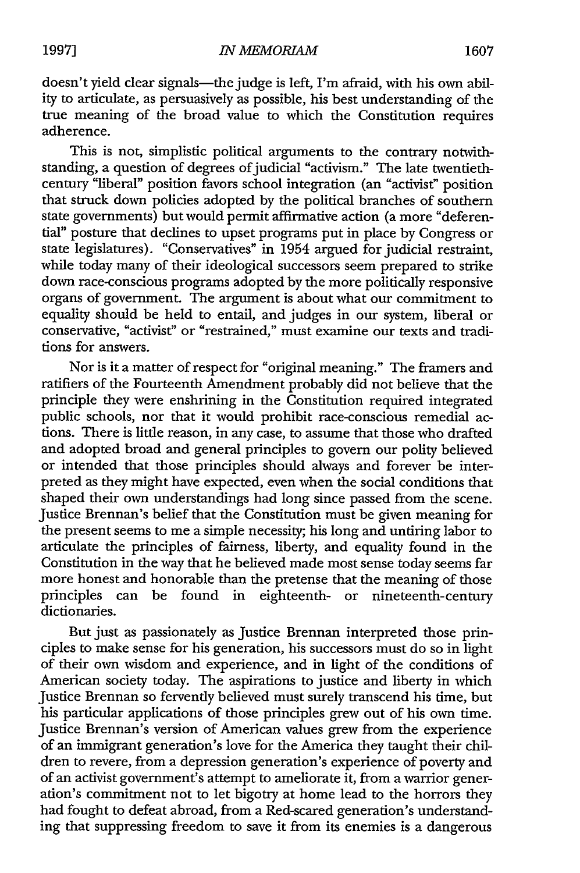doesn't yield clear signals-the judge is left, I'm afraid, with his own ability to articulate, as persuasively as possible, his best understanding of the true meaning of the broad value to which the Constitution requires adherence.

This is not, simplistic political arguments to the contrary notwithstanding, a question of degrees of judicial "activism." The late twentiethcentury "liberal" position favors school integration (an "activist" position that struck down policies adopted by the political branches of southern state governments) but would permit affirmative action (a more "deferential" posture that declines to upset programs put in place by Congress or state legislatures). "Conservatives" in 1954 argued for judicial restraint, while today many of their ideological successors seem prepared to strike down race-conscious programs adopted by the more politically responsive organs of government. The argument is about what our commitment to equality should be held to entail, and judges in our system, liberal or conservative, "activist" or "restrained," must examine our texts and traditions for answers.

Nor is it a matter of respect for "original meaning." The framers and ratifiers of the Fourteenth Amendment probably did not believe that the principle they were enshrining in the Constitution required integrated public schools, nor that it would prohibit race-conscious remedial actions. There is little reason, in any case, to assume that those who drafted and adopted broad and general principles to govern our polity believed or intended that those principles should always and forever be interpreted as they might have expected, even when the social conditions that shaped their own understandings had long since passed from the scene. Justice Brennan's belief that the Constitution must be given meaning for the present seems to me a simple necessity; his long and untiring labor to articulate the principles of fairness, liberty, and equality found in the Constitution in the way that he believed made most sense today seems far more honest and honorable than the pretense that the meaning of those principles can be found in eighteenth- or nineteenth-century dictionaries.

But just as passionately as Justice Brennan interpreted those principles to make sense for his generation, his successors must do so in light of their own wisdom and experience, and in light of the conditions of American society today. The aspirations to justice and liberty in which Justice Brennan so fervently believed must surely transcend his time, but his particular applications of those principles grew out of his own time. Justice Brennan's version of American values grew from the experience of an immigrant generation's love for the America they taught their children to revere, from a depression generation's experience of poverty and of an activist government's attempt to ameliorate it, from a warrior generation's commitment not to let bigotry at home lead to the horrors they had fought to defeat abroad, from a Red-scared generation's understanding that suppressing freedom to save it from its enemies is a dangerous